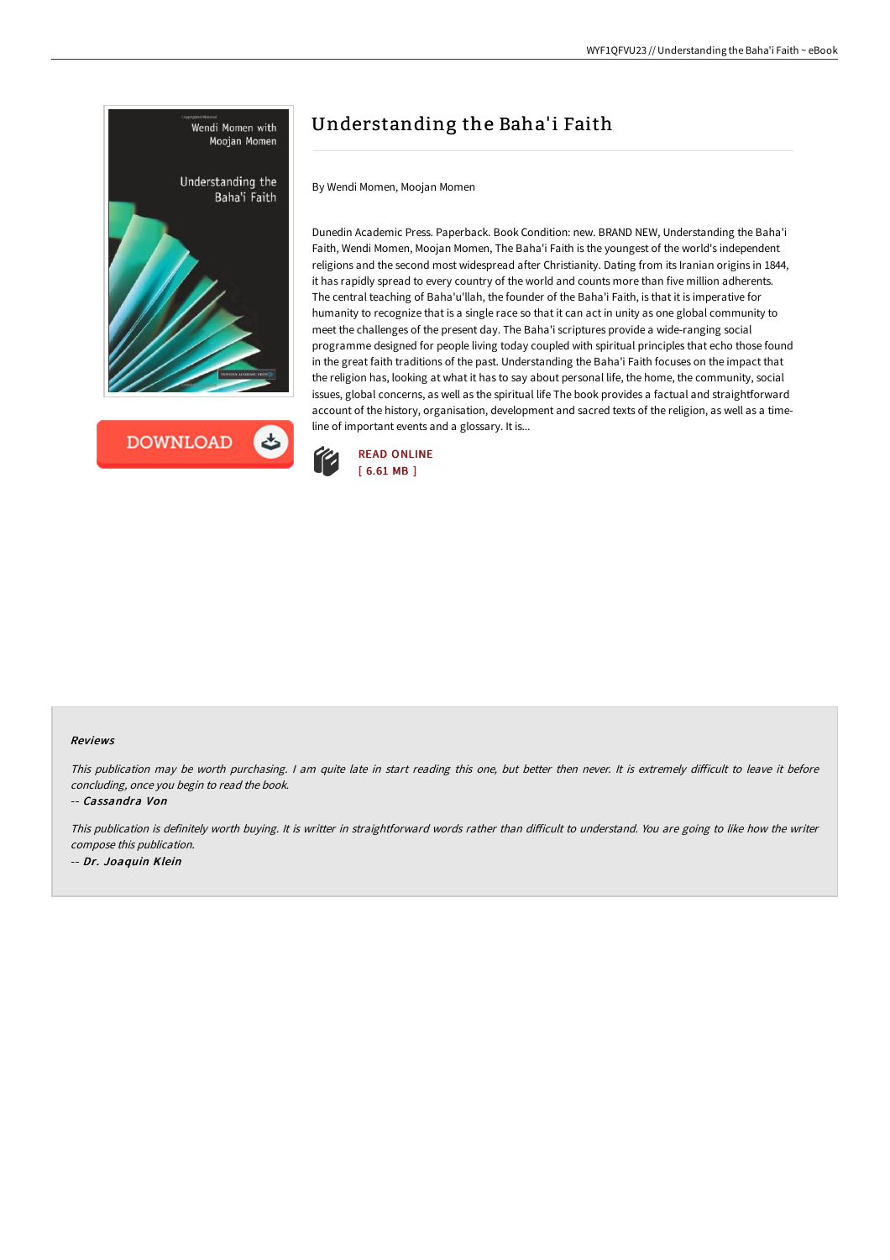



# Understanding the Baha'i Faith

By Wendi Momen, Moojan Momen

Dunedin Academic Press. Paperback. Book Condition: new. BRAND NEW, Understanding the Baha'i Faith, Wendi Momen, Moojan Momen, The Baha'i Faith is the youngest of the world's independent religions and the second most widespread after Christianity. Dating from its Iranian origins in 1844, it has rapidly spread to every country of the world and counts more than five million adherents. The central teaching of Baha'u'llah, the founder of the Baha'i Faith, is that it is imperative for humanity to recognize that is a single race so that it can act in unity as one global community to meet the challenges of the present day. The Baha'i scriptures provide a wide-ranging social programme designed for people living today coupled with spiritual principles that echo those found in the great faith traditions of the past. Understanding the Baha'i Faith focuses on the impact that the religion has, looking at what it has to say about personal life, the home, the community, social issues, global concerns, as well as the spiritual life The book provides a factual and straightforward account of the history, organisation, development and sacred texts of the religion, as well as a timeline of important events and a glossary. It is...



#### Reviews

This publication may be worth purchasing. I am quite late in start reading this one, but better then never. It is extremely difficult to leave it before concluding, once you begin to read the book.

-- Cassandra Von

This publication is definitely worth buying. It is writter in straightforward words rather than difficult to understand. You are going to like how the writer compose this publication. -- Dr. Joaquin Klein